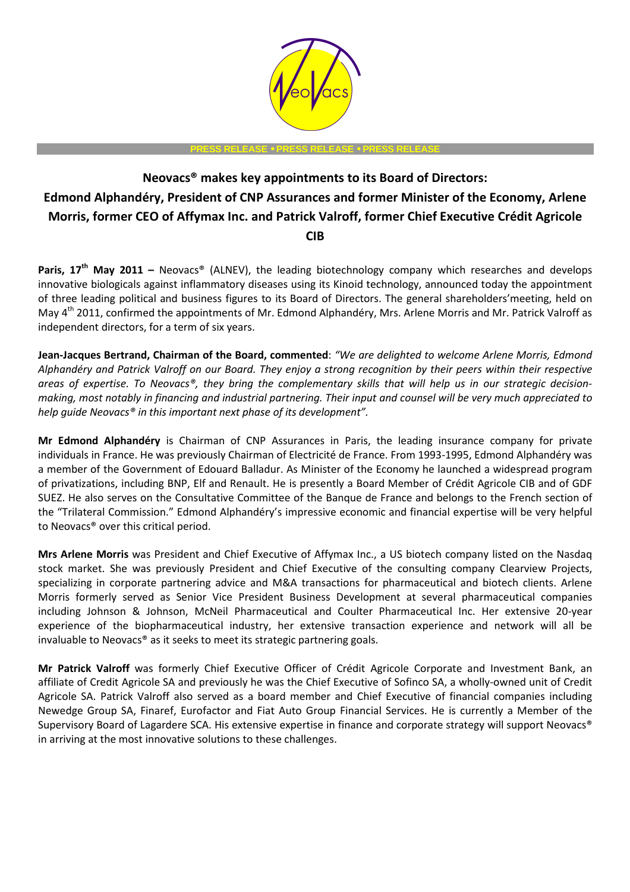

**PRESS RELEASE** • **PRESS RELEASE** • **PRESS RELEASE** 

## **Neovacs® makes key appointments to its Board of Directors: Edmond Alphandéry, President of CNP Assurances and former Minister of the Economy, Arlene Morris, former CEO of Affymax Inc. and Patrick Valroff, former Chief Executive Crédit Agricole CIB**

Paris. 17<sup>th</sup> May 2011 - Neovacs® (ALNEV), the leading biotechnology company which researches and develops innovative biologicals against inflammatory diseases using its Kinoid technology, announced today the appointment of three leading political and business figures to its Board of Directors. The general shareholders'meeting, held on May 4<sup>th</sup> 2011, confirmed the appointments of Mr. Edmond Alphandéry, Mrs. Arlene Morris and Mr. Patrick Valroff as independent directors, for a term of six years.

**Jean-Jacques Bertrand, Chairman of the Board, commented**: *"We are delighted to welcome Arlene Morris, Edmond Alphandéry and Patrick Valroff on our Board. They enjoy a strong recognition by their peers within their respective areas of expertise. To Neovacs®, they bring the complementary skills that will help us in our strategic decisionmaking, most notably in financing and industrial partnering. Their input and counsel will be very much appreciated to help guide Neovacs® in this important next phase of its development".*

**Mr Edmond Alphandéry** is Chairman of CNP Assurances in Paris, the leading insurance company for private individuals in France. He was previously Chairman of Electricité de France. From 1993-1995, Edmond Alphandéry was a member of the Government of Edouard Balladur. As Minister of the Economy he launched a widespread program of privatizations, including BNP, Elf and Renault. He is presently a Board Member of Crédit Agricole CIB and of GDF SUEZ. He also serves on the Consultative Committee of the Banque de France and belongs to the French section of the "Trilateral Commission." Edmond Alphandéry's impressive economic and financial expertise will be very helpful to Neovacs® over this critical period.

**Mrs Arlene Morris** was President and Chief Executive of Affymax Inc., a US biotech company listed on the Nasdaq stock market. She was previously President and Chief Executive of the consulting company Clearview Projects, specializing in corporate partnering advice and M&A transactions for pharmaceutical and biotech clients. Arlene Morris formerly served as Senior Vice President Business Development at several pharmaceutical companies including Johnson & Johnson, McNeil Pharmaceutical and Coulter Pharmaceutical Inc. Her extensive 20-year experience of the biopharmaceutical industry, her extensive transaction experience and network will all be invaluable to Neovacs® as it seeks to meet its strategic partnering goals.

**Mr Patrick Valroff** was formerly Chief Executive Officer of Crédit Agricole Corporate and Investment Bank, an affiliate of Credit Agricole SA and previously he was the Chief Executive of Sofinco SA, a wholly-owned unit of Credit Agricole SA. Patrick Valroff also served as a board member and Chief Executive of financial companies including Newedge Group SA, Finaref, Eurofactor and Fiat Auto Group Financial Services. He is currently a Member of the Supervisory Board of Lagardere SCA. His extensive expertise in finance and corporate strategy will support Neovacs® in arriving at the most innovative solutions to these challenges.